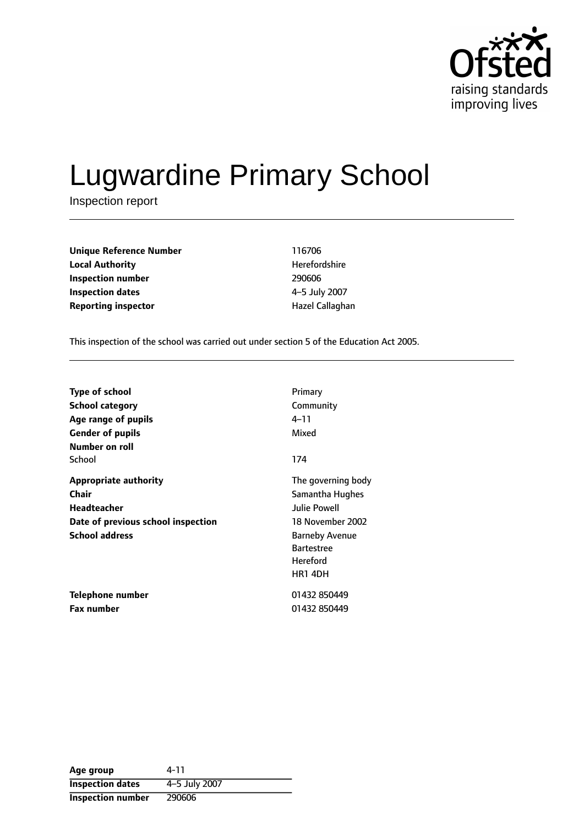

# Lugwardine Primary School

Inspection report

| <b>Unique Reference Number</b> | 116706          |
|--------------------------------|-----------------|
| <b>Local Authority</b>         | Herefordshire   |
| Inspection number              | 290606          |
| Inspection dates               | 4-5 July 2007   |
| <b>Reporting inspector</b>     | Hazel Callaghan |

This inspection of the school was carried out under section 5 of the Education Act 2005.

| <b>Type of school</b>              | Primary               |
|------------------------------------|-----------------------|
| <b>School category</b>             | Community             |
| Age range of pupils                | $4 - 11$              |
| <b>Gender of pupils</b>            | Mixed                 |
| Number on roll                     |                       |
| School                             | 174                   |
| <b>Appropriate authority</b>       | The governing body    |
| Chair                              | Samantha Hughes       |
| Headteacher                        | <b>Julie Powell</b>   |
| Date of previous school inspection | 18 November 2002      |
| <b>School address</b>              | <b>Barneby Avenue</b> |
|                                    | <b>Bartestree</b>     |
|                                    | <b>Hereford</b>       |
|                                    | <b>HR1 4DH</b>        |
| Telephone number                   | 01432 850449          |
| <b>Fax number</b>                  | 01432 850449          |

| Age group                | 4-11          |
|--------------------------|---------------|
| <b>Inspection dates</b>  | 4-5 July 2007 |
| <b>Inspection number</b> | 290606        |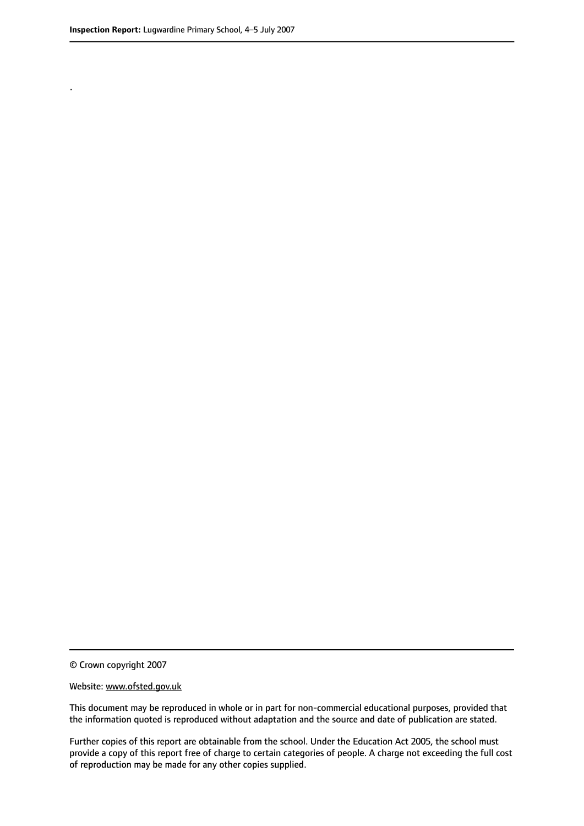.

This document may be reproduced in whole or in part for non-commercial educational purposes, provided that the information quoted is reproduced without adaptation and the source and date of publication are stated.

Further copies of this report are obtainable from the school. Under the Education Act 2005, the school must provide a copy of this report free of charge to certain categories of people. A charge not exceeding the full cost of reproduction may be made for any other copies supplied.

<sup>©</sup> Crown copyright 2007

Website: www.ofsted.gov.uk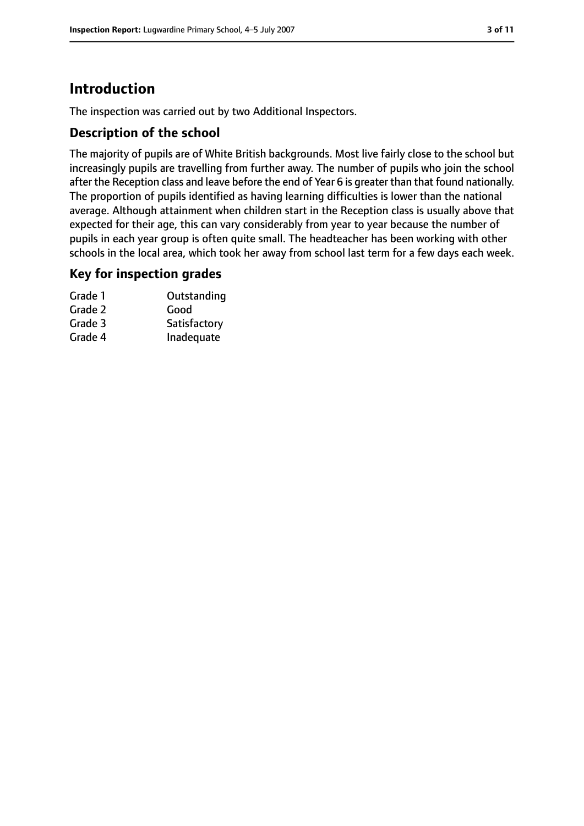# **Introduction**

The inspection was carried out by two Additional Inspectors.

## **Description of the school**

The majority of pupils are of White British backgrounds. Most live fairly close to the school but increasingly pupils are travelling from further away. The number of pupils who join the school after the Reception class and leave before the end of Year 6 is greater than that found nationally. The proportion of pupils identified as having learning difficulties is lower than the national average. Although attainment when children start in the Reception class is usually above that expected for their age, this can vary considerably from year to year because the number of pupils in each year group is often quite small. The headteacher has been working with other schools in the local area, which took her away from school last term for a few days each week.

## **Key for inspection grades**

| Grade 1 | Outstanding  |
|---------|--------------|
| Grade 2 | Good         |
| Grade 3 | Satisfactory |
| Grade 4 | Inadequate   |
|         |              |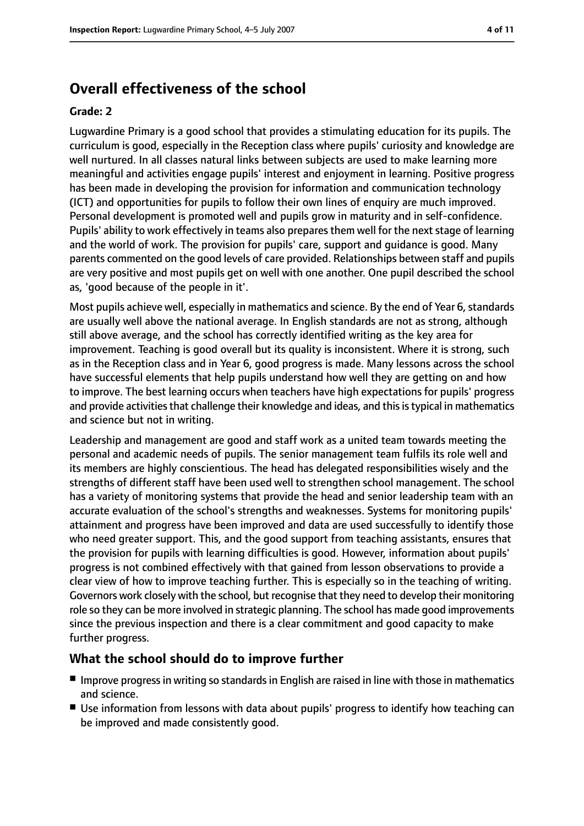# **Overall effectiveness of the school**

#### **Grade: 2**

Lugwardine Primary is a good school that provides a stimulating education for its pupils. The curriculum is good, especially in the Reception class where pupils' curiosity and knowledge are well nurtured. In all classes natural links between subjects are used to make learning more meaningful and activities engage pupils' interest and enjoyment in learning. Positive progress has been made in developing the provision for information and communication technology (ICT) and opportunities for pupils to follow their own lines of enquiry are much improved. Personal development is promoted well and pupils grow in maturity and in self-confidence. Pupils' ability to work effectively in teams also prepares them well for the next stage of learning and the world of work. The provision for pupils' care, support and guidance is good. Many parents commented on the good levels of care provided. Relationships between staff and pupils are very positive and most pupils get on well with one another. One pupil described the school as, 'good because of the people in it'.

Most pupils achieve well, especially in mathematics and science. By the end of Year 6, standards are usually well above the national average. In English standards are not as strong, although still above average, and the school has correctly identified writing as the key area for improvement. Teaching is good overall but its quality is inconsistent. Where it is strong, such as in the Reception class and in Year 6, good progress is made. Many lessons across the school have successful elements that help pupils understand how well they are getting on and how to improve. The best learning occurs when teachers have high expectations for pupils' progress and provide activities that challenge their knowledge and ideas, and this is typical in mathematics and science but not in writing.

Leadership and management are good and staff work as a united team towards meeting the personal and academic needs of pupils. The senior management team fulfils its role well and its members are highly conscientious. The head has delegated responsibilities wisely and the strengths of different staff have been used well to strengthen school management. The school has a variety of monitoring systems that provide the head and senior leadership team with an accurate evaluation of the school's strengths and weaknesses. Systems for monitoring pupils' attainment and progress have been improved and data are used successfully to identify those who need greater support. This, and the good support from teaching assistants, ensures that the provision for pupils with learning difficulties is good. However, information about pupils' progress is not combined effectively with that gained from lesson observations to provide a clear view of how to improve teaching further. This is especially so in the teaching of writing. Governors work closely with the school, but recognise that they need to develop their monitoring role so they can be more involved in strategic planning. The school has made good improvements since the previous inspection and there is a clear commitment and good capacity to make further progress.

#### **What the school should do to improve further**

- Improve progress in writing so standards in English are raised in line with those in mathematics and science.
- Use information from lessons with data about pupils' progress to identify how teaching can be improved and made consistently good.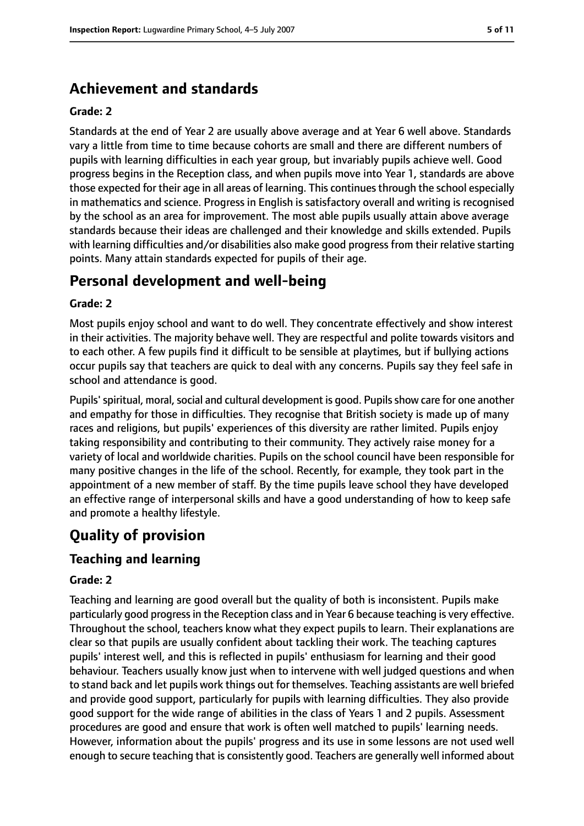# **Achievement and standards**

#### **Grade: 2**

Standards at the end of Year 2 are usually above average and at Year 6 well above. Standards vary a little from time to time because cohorts are small and there are different numbers of pupils with learning difficulties in each year group, but invariably pupils achieve well. Good progress begins in the Reception class, and when pupils move into Year 1, standards are above those expected for their age in all areas of learning. This continues through the school especially in mathematics and science. Progress in English is satisfactory overall and writing is recognised by the school as an area for improvement. The most able pupils usually attain above average standards because their ideas are challenged and their knowledge and skills extended. Pupils with learning difficulties and/or disabilities also make good progress from their relative starting points. Many attain standards expected for pupils of their age.

# **Personal development and well-being**

#### **Grade: 2**

Most pupils enjoy school and want to do well. They concentrate effectively and show interest in their activities. The majority behave well. They are respectful and polite towards visitors and to each other. A few pupils find it difficult to be sensible at playtimes, but if bullying actions occur pupils say that teachers are quick to deal with any concerns. Pupils say they feel safe in school and attendance is good.

Pupils' spiritual, moral, social and cultural development is good. Pupils show care for one another and empathy for those in difficulties. They recognise that British society is made up of many races and religions, but pupils' experiences of this diversity are rather limited. Pupils enjoy taking responsibility and contributing to their community. They actively raise money for a variety of local and worldwide charities. Pupils on the school council have been responsible for many positive changes in the life of the school. Recently, for example, they took part in the appointment of a new member of staff. By the time pupils leave school they have developed an effective range of interpersonal skills and have a good understanding of how to keep safe and promote a healthy lifestyle.

# **Quality of provision**

## **Teaching and learning**

#### **Grade: 2**

Teaching and learning are good overall but the quality of both is inconsistent. Pupils make particularly good progressin the Reception class and in Year 6 because teaching is very effective. Throughout the school, teachers know what they expect pupils to learn. Their explanations are clear so that pupils are usually confident about tackling their work. The teaching captures pupils' interest well, and this is reflected in pupils' enthusiasm for learning and their good behaviour. Teachers usually know just when to intervene with well judged questions and when to stand back and let pupils work things out for themselves. Teaching assistants are well briefed and provide good support, particularly for pupils with learning difficulties. They also provide good support for the wide range of abilities in the class of Years 1 and 2 pupils. Assessment procedures are good and ensure that work is often well matched to pupils' learning needs. However, information about the pupils' progress and its use in some lessons are not used well enough to secure teaching that is consistently good. Teachers are generally well informed about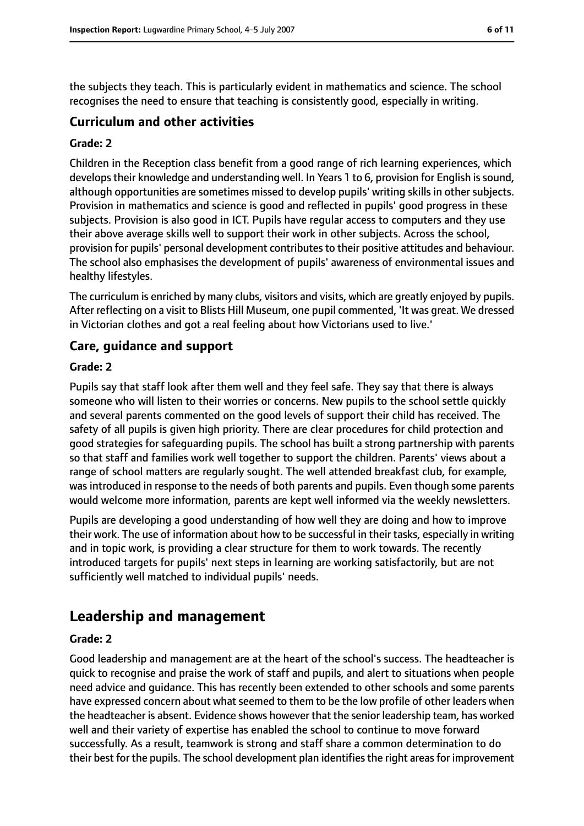the subjects they teach. This is particularly evident in mathematics and science. The school recognises the need to ensure that teaching is consistently good, especially in writing.

### **Curriculum and other activities**

#### **Grade: 2**

Children in the Reception class benefit from a good range of rich learning experiences, which develops their knowledge and understanding well. In Years 1 to 6, provision for English is sound, although opportunities are sometimes missed to develop pupils' writing skills in other subjects. Provision in mathematics and science is good and reflected in pupils' good progress in these subjects. Provision is also good in ICT. Pupils have regular access to computers and they use their above average skills well to support their work in other subjects. Across the school, provision for pupils' personal development contributes to their positive attitudes and behaviour. The school also emphasises the development of pupils' awareness of environmental issues and healthy lifestyles.

The curriculum is enriched by many clubs, visitors and visits, which are greatly enjoyed by pupils. After reflecting on a visit to Blists Hill Museum, one pupil commented, 'It was great. We dressed in Victorian clothes and got a real feeling about how Victorians used to live.'

## **Care, guidance and support**

#### **Grade: 2**

Pupils say that staff look after them well and they feel safe. They say that there is always someone who will listen to their worries or concerns. New pupils to the school settle quickly and several parents commented on the good levels of support their child has received. The safety of all pupils is given high priority. There are clear procedures for child protection and good strategies for safeguarding pupils. The school has built a strong partnership with parents so that staff and families work well together to support the children. Parents' views about a range of school matters are regularly sought. The well attended breakfast club, for example, was introduced in response to the needs of both parents and pupils. Even though some parents would welcome more information, parents are kept well informed via the weekly newsletters.

Pupils are developing a good understanding of how well they are doing and how to improve their work. The use of information about how to be successful in their tasks, especially in writing and in topic work, is providing a clear structure for them to work towards. The recently introduced targets for pupils' next steps in learning are working satisfactorily, but are not sufficiently well matched to individual pupils' needs.

# **Leadership and management**

#### **Grade: 2**

Good leadership and management are at the heart of the school's success. The headteacher is quick to recognise and praise the work of staff and pupils, and alert to situations when people need advice and guidance. This has recently been extended to other schools and some parents have expressed concern about what seemed to them to be the low profile of other leaders when the headteacher is absent. Evidence shows however that the senior leadership team, has worked well and their variety of expertise has enabled the school to continue to move forward successfully. As a result, teamwork is strong and staff share a common determination to do their best for the pupils. The school development plan identifies the right areas for improvement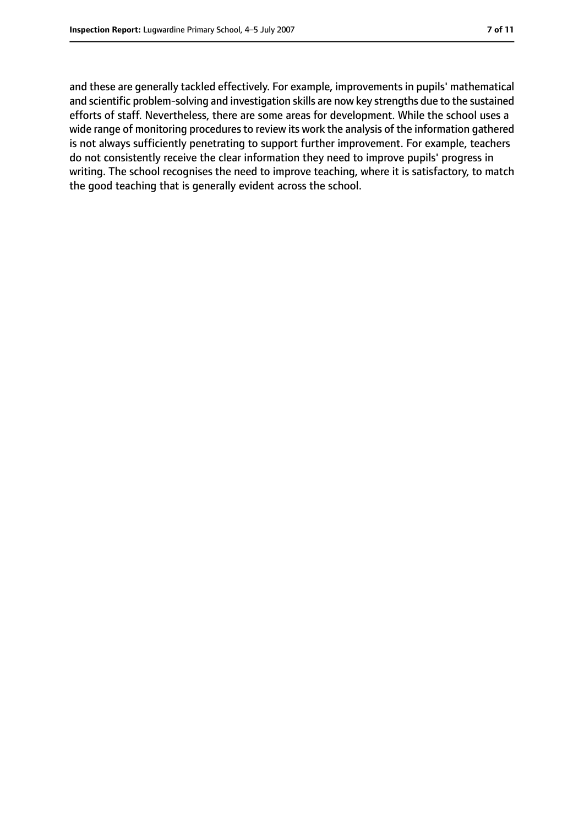and these are generally tackled effectively. For example, improvements in pupils' mathematical and scientific problem-solving and investigation skills are now key strengths due to the sustained efforts of staff. Nevertheless, there are some areas for development. While the school uses a wide range of monitoring procedures to review its work the analysis of the information gathered is not always sufficiently penetrating to support further improvement. For example, teachers do not consistently receive the clear information they need to improve pupils' progress in writing. The school recognises the need to improve teaching, where it is satisfactory, to match the good teaching that is generally evident across the school.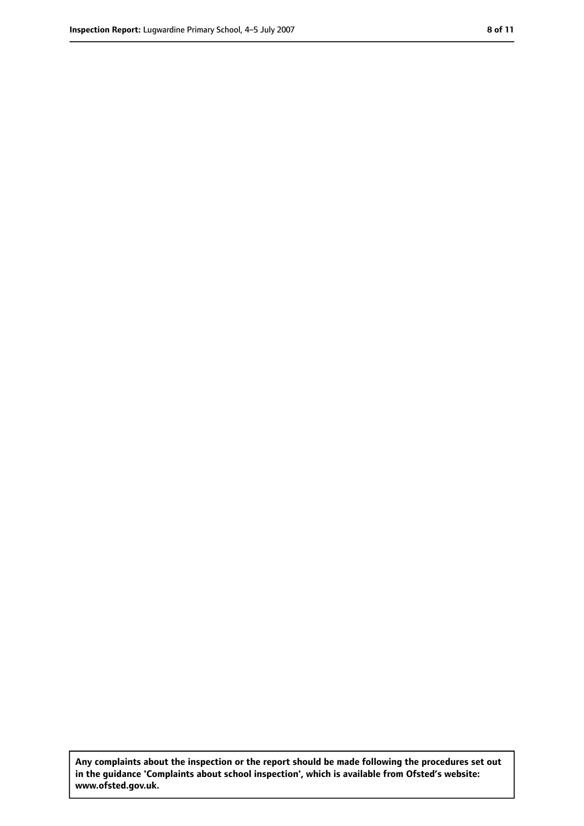**Any complaints about the inspection or the report should be made following the procedures set out in the guidance 'Complaints about school inspection', which is available from Ofsted's website: www.ofsted.gov.uk.**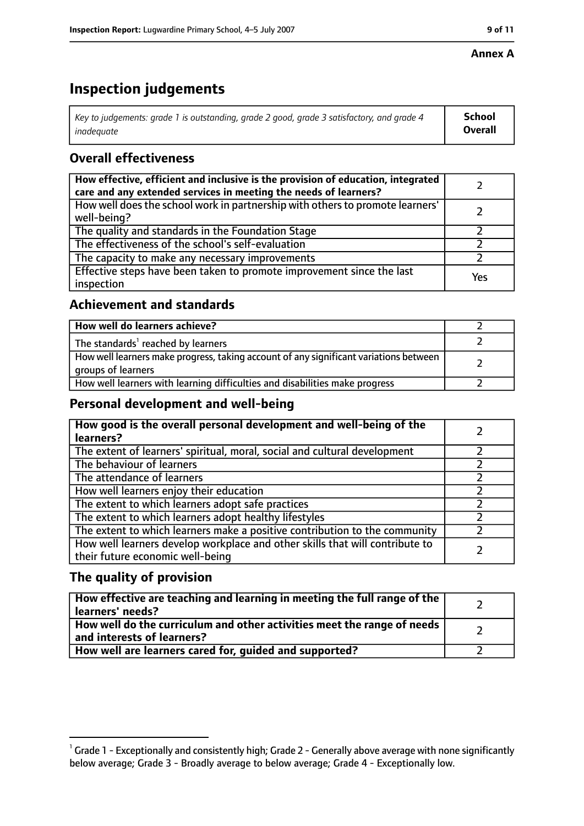#### **Annex A**

# **Inspection judgements**

| Key to judgements: grade 1 is outstanding, grade 2 good, grade 3 satisfactory, and grade 4 | <b>School</b>  |
|--------------------------------------------------------------------------------------------|----------------|
| inadeauate                                                                                 | <b>Overall</b> |

## **Overall effectiveness**

| How effective, efficient and inclusive is the provision of education, integrated<br>care and any extended services in meeting the needs of learners? |     |
|------------------------------------------------------------------------------------------------------------------------------------------------------|-----|
| How well does the school work in partnership with others to promote learners'<br>well-being?                                                         |     |
| The quality and standards in the Foundation Stage                                                                                                    |     |
| The effectiveness of the school's self-evaluation                                                                                                    |     |
| The capacity to make any necessary improvements                                                                                                      |     |
| Effective steps have been taken to promote improvement since the last<br>inspection                                                                  | Yes |

## **Achievement and standards**

| How well do learners achieve?                                                                               |  |
|-------------------------------------------------------------------------------------------------------------|--|
| The standards <sup>1</sup> reached by learners                                                              |  |
| How well learners make progress, taking account of any significant variations between<br>groups of learners |  |
| How well learners with learning difficulties and disabilities make progress                                 |  |

## **Personal development and well-being**

| How good is the overall personal development and well-being of the<br>learners?                                  |  |
|------------------------------------------------------------------------------------------------------------------|--|
| The extent of learners' spiritual, moral, social and cultural development                                        |  |
| The behaviour of learners                                                                                        |  |
| The attendance of learners                                                                                       |  |
| How well learners enjoy their education                                                                          |  |
| The extent to which learners adopt safe practices                                                                |  |
| The extent to which learners adopt healthy lifestyles                                                            |  |
| The extent to which learners make a positive contribution to the community                                       |  |
| How well learners develop workplace and other skills that will contribute to<br>their future economic well-being |  |

## **The quality of provision**

| How effective are teaching and learning in meeting the full range of the<br>learners' needs?          |  |
|-------------------------------------------------------------------------------------------------------|--|
| How well do the curriculum and other activities meet the range of needs<br>and interests of learners? |  |
| How well are learners cared for, guided and supported?                                                |  |

 $^1$  Grade 1 - Exceptionally and consistently high; Grade 2 - Generally above average with none significantly below average; Grade 3 - Broadly average to below average; Grade 4 - Exceptionally low.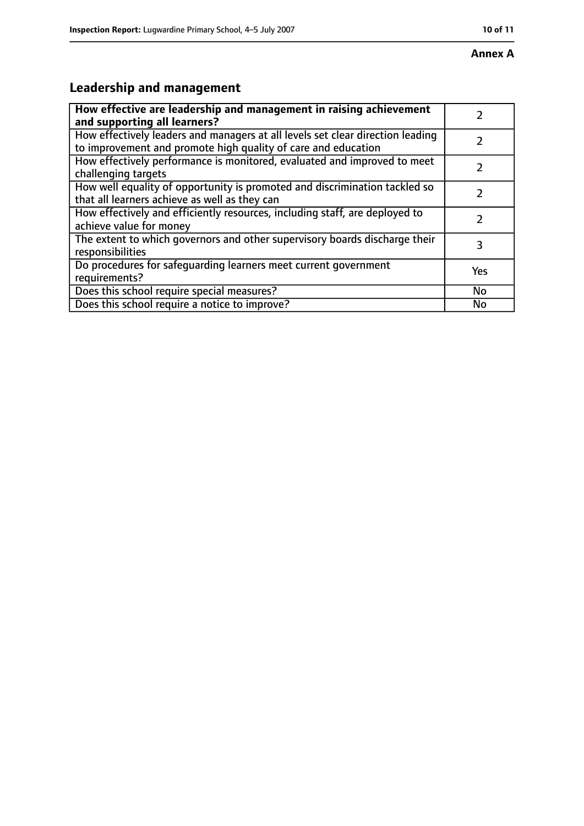# **Leadership and management**

| How effective are leadership and management in raising achievement                                                                              |     |
|-------------------------------------------------------------------------------------------------------------------------------------------------|-----|
| and supporting all learners?                                                                                                                    |     |
| How effectively leaders and managers at all levels set clear direction leading<br>to improvement and promote high quality of care and education |     |
| How effectively performance is monitored, evaluated and improved to meet<br>challenging targets                                                 |     |
| How well equality of opportunity is promoted and discrimination tackled so<br>that all learners achieve as well as they can                     |     |
| How effectively and efficiently resources, including staff, are deployed to<br>achieve value for money                                          | 7   |
| The extent to which governors and other supervisory boards discharge their<br>responsibilities                                                  | 3   |
| Do procedures for safequarding learners meet current government<br>requirements?                                                                | Yes |
| Does this school require special measures?                                                                                                      | No  |
| Does this school require a notice to improve?                                                                                                   | No  |